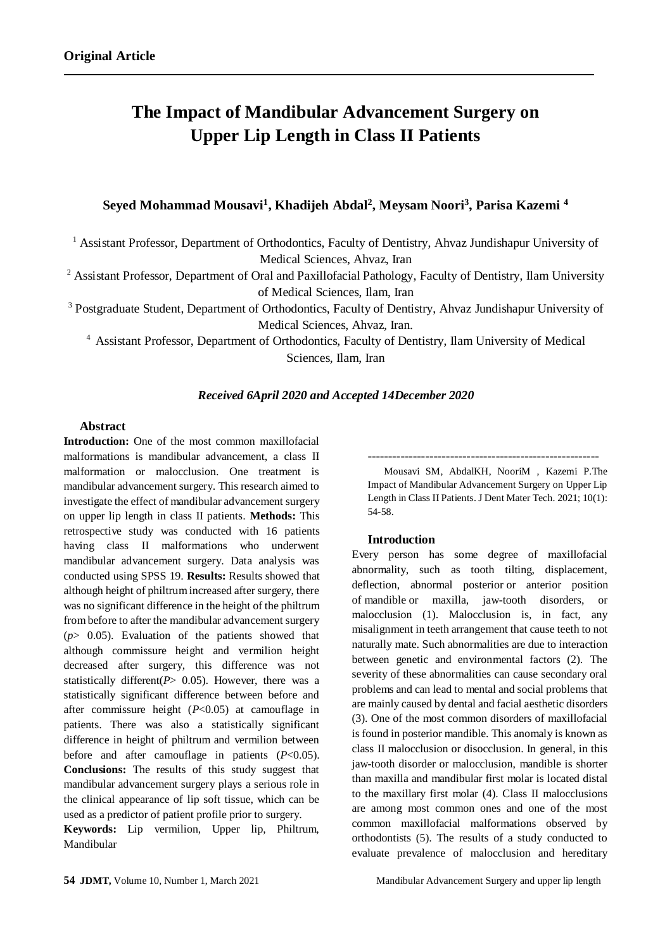# **The Impact of Mandibular Advancement Surgery on Upper Lip Length in Class II Patients**

# **Seyed Mohammad Mousavi<sup>1</sup> , Khadijeh Abdal<sup>2</sup> , Meysam Noori<sup>3</sup> , Parisa Kazemi <sup>4</sup>**

<sup>1</sup> Assistant Professor, Department of Orthodontics, Faculty of Dentistry, Ahvaz Jundishapur University of Medical Sciences, Ahvaz, Iran

<sup>2</sup> Assistant Professor, Department of Oral and Paxillofacial Pathology, Faculty of Dentistry, Ilam University of Medical Sciences, Ilam, Iran

<sup>3</sup> Postgraduate Student, Department of Orthodontics, Faculty of Dentistry, Ahvaz Jundishapur University of Medical Sciences, Ahvaz, Iran.

<sup>4</sup> Assistant Professor, Department of Orthodontics, Faculty of Dentistry, Ilam University of Medical Sciences, Ilam, Iran

#### *Received 6April 2020 and Accepted 14December 2020*

#### **Abstract**

**Introduction:** One of the most common maxillofacial malformations is mandibular advancement, a class II malformation or malocclusion. One treatment is mandibular advancement surgery. This research aimed to investigate the effect of mandibular advancement surgery on upper lip length in class II patients. **Methods:** This retrospective study was conducted with 16 patients having class II malformations who underwent mandibular advancement surgery. Data analysis was conducted using SPSS 19. **Results:** Results showed that although height of philtrum increased after surgery, there was no significant difference in the height of the philtrum from before to after the mandibular advancement surgery (*p*> 0.05). Evaluation of the patients showed that although commissure height and vermilion height decreased after surgery, this difference was not statistically different(*P*> 0.05). However, there was a statistically significant difference between before and after commissure height (*P*<0.05) at camouflage in patients. There was also a statistically significant difference in height of philtrum and vermilion between before and after camouflage in patients (*P*<0.05). **Conclusions:** The results of this study suggest that mandibular advancement surgery plays a serious role in the clinical appearance of lip soft tissue, which can be used as a predictor of patient profile prior to surgery.

**Keywords:** Lip vermilion, Upper lip, Philtrum, Mandibular

-------------------------------------------------------- Mousavi SM, AbdalKH, NooriM , Kazemi P.The Impact of Mandibular Advancement Surgery on Upper Lip Length in Class II Patients. J Dent Mater Tech. 2021; 10(1): 54-58.

#### **Introduction**

Every person has some degree of maxillofacial abnormality, such as tooth tilting, displacement, deflection, abnormal posterior or anterior position of mandible or maxilla, jaw-tooth disorders, or malocclusion (1). Malocclusion is, in fact, any misalignment in teeth arrangement that cause teeth to not naturally mate. Such abnormalities are due to interaction between genetic and environmental factors (2). The severity of these abnormalities can cause secondary oral problems and can lead to mental and social problems that are mainly caused by dental and facial aesthetic disorders (3). One of the most common disorders of maxillofacial is found in posterior mandible. This anomaly is known as class II malocclusion or disocclusion. In general, in this jaw-tooth disorder or malocclusion, mandible is shorter than maxilla and mandibular first molar is located distal to the maxillary first molar (4). Class II malocclusions are among most common ones and one of the most common maxillofacial malformations observed by orthodontists (5). The results of a study conducted to evaluate prevalence of malocclusion and hereditary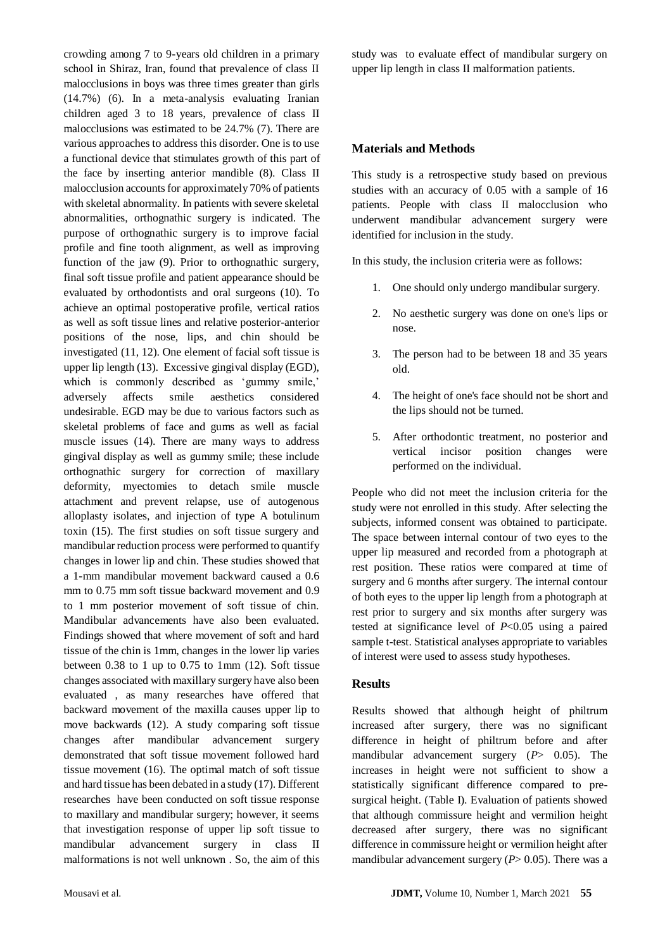crowding among 7 to 9-years old children in a primary school in Shiraz, Iran, found that prevalence of class II malocclusions in boys was three times greater than girls (14.7%) (6). In a meta-analysis evaluating Iranian children aged 3 to 18 years, prevalence of class II malocclusions was estimated to be 24.7% (7). There are various approaches to address this disorder. One is to use a functional device that stimulates growth of this part of the face by inserting anterior mandible (8). Class II malocclusion accounts for approximately 70% of patients with skeletal abnormality. In patients with severe skeletal abnormalities, orthognathic surgery is indicated. The purpose of orthognathic surgery is to improve facial profile and fine tooth alignment, as well as improving function of the jaw (9). Prior to orthognathic surgery, final soft tissue profile and patient appearance should be evaluated by orthodontists and oral surgeons (10). To achieve an optimal postoperative profile, vertical ratios as well as soft tissue lines and relative posterior-anterior positions of the nose, lips, and chin should be investigated (11, 12). One element of facial soft tissue is upper lip length (13). Excessive gingival display (EGD), which is commonly described as 'gummy smile,' adversely affects smile aesthetics considered undesirable. EGD may be due to various factors such as skeletal problems of face and gums as well as facial muscle issues (14). There are many ways to address gingival display as well as gummy smile; these include orthognathic surgery for correction of maxillary deformity, myectomies to detach smile muscle attachment and prevent relapse, use of autogenous alloplasty isolates, and injection of type A botulinum toxin (15). The first studies on soft tissue surgery and mandibular reduction process were performed to quantify changes in lower lip and chin. These studies showed that a 1-mm mandibular movement backward caused a 0.6 mm to  $0.75$  mm soft tissue backward movement and  $0.9$ to 1 mm posterior movement of soft tissue of chin. Mandibular advancements have also been evaluated. Findings showed that where movement of soft and hard tissue of the chin is 1mm, changes in the lower lip varies between 0.38 to 1 up to 0.75 to 1mm (12). Soft tissue changes associated with maxillary surgery have also been evaluated , as many researches have offered that backward movement of the maxilla causes upper lip to move backwards (12). A study comparing soft tissue changes after mandibular advancement surgery demonstrated that soft tissue movement followed hard tissue movement (16). The optimal match of soft tissue and hard tissue has been debated in a study (17). Different researches have been conducted on soft tissue response to maxillary and mandibular surgery; however, it seems that investigation response of upper lip soft tissue to mandibular advancement surgery in class II malformations is not well unknown . So, the aim of this study was to evaluate effect of mandibular surgery on upper lip length in class II malformation patients.

#### **Materials and Methods**

This study is a retrospective study based on previous studies with an accuracy of 0.05 with a sample of 16 patients. People with class II malocclusion who underwent mandibular advancement surgery were identified for inclusion in the study.

In this study, the inclusion criteria were as follows:

- 1. One should only undergo mandibular surgery.
- 2. No aesthetic surgery was done on one's lips or nose.
- 3. The person had to be between 18 and 35 years old.
- 4. The height of one's face should not be short and the lips should not be turned.
- 5. After orthodontic treatment, no posterior and vertical incisor position changes were performed on the individual.

People who did not meet the inclusion criteria for the study were not enrolled in this study. After selecting the subjects, informed consent was obtained to participate. The space between internal contour of two eyes to the upper lip measured and recorded from a photograph at rest position. These ratios were compared at time of surgery and 6 months after surgery. The internal contour of both eyes to the upper lip length from a photograph at rest prior to surgery and six months after surgery was tested at significance level of *P*<0.05 using a paired sample t-test. Statistical analyses appropriate to variables of interest were used to assess study hypotheses.

# **Results**

Results showed that although height of philtrum increased after surgery, there was no significant difference in height of philtrum before and after mandibular advancement surgery (*P*> 0.05). The increases in height were not sufficient to show a statistically significant difference compared to presurgical height. (Table I). Evaluation of patients showed that although commissure height and vermilion height decreased after surgery, there was no significant difference in commissure height or vermilion height after mandibular advancement surgery (*P*> 0.05). There was a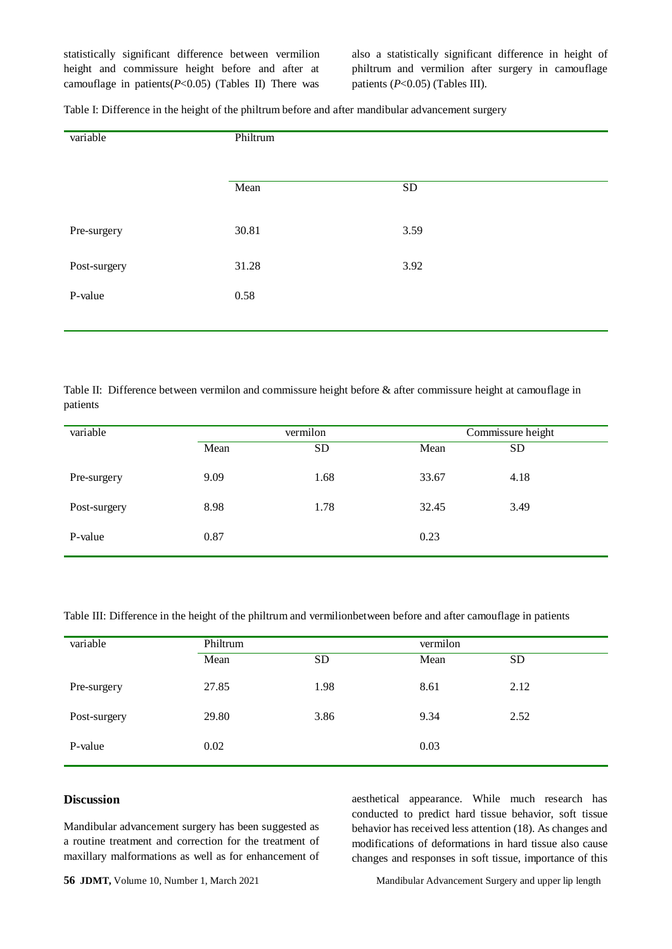statistically significant difference between vermilion height and commissure height before and after at camouflage in patients(*P*<0.05) (Tables II) There was also a statistically significant difference in height of philtrum and vermilion after surgery in camouflage patients (*P*<0.05) (Tables III).

Table I: Difference in the height of the philtrum before and after mandibular advancement surgery

| variable     | Philtrum |           |
|--------------|----------|-----------|
|              |          |           |
|              |          |           |
|              | Mean     | <b>SD</b> |
|              |          |           |
| Pre-surgery  | 30.81    | 3.59      |
|              |          |           |
| Post-surgery | 31.28    | 3.92      |
|              |          |           |
| P-value      | 0.58     |           |
|              |          |           |

Table II: Difference between vermilon and commissure height before & after commissure height at camouflage in patients

| variable     | vermilon |           | Commissure height |           |
|--------------|----------|-----------|-------------------|-----------|
|              | Mean     | <b>SD</b> | Mean              | <b>SD</b> |
| Pre-surgery  | 9.09     | 1.68      | 33.67             | 4.18      |
| Post-surgery | 8.98     | 1.78      | 32.45             | 3.49      |
| P-value      | 0.87     |           | 0.23              |           |

Table III: Difference in the height of the philtrum and vermilionbetween before and after camouflage in patients

| variable     | Philtrum |           | vermilon |           |
|--------------|----------|-----------|----------|-----------|
|              | Mean     | <b>SD</b> | Mean     | <b>SD</b> |
| Pre-surgery  | 27.85    | 1.98      | 8.61     | 2.12      |
| Post-surgery | 29.80    | 3.86      | 9.34     | 2.52      |
| P-value      | 0.02     |           | 0.03     |           |

#### **Discussion**

Mandibular advancement surgery has been suggested as a routine treatment and correction for the treatment of maxillary malformations as well as for enhancement of aesthetical appearance. While much research has conducted to predict hard tissue behavior, soft tissue behavior has received less attention (18). As changes and modifications of deformations in hard tissue also cause changes and responses in soft tissue, importance of this

**56** JDMT, Volume 10, Number 1, March 2021 Mandibular Advancement Surgery and upper lip length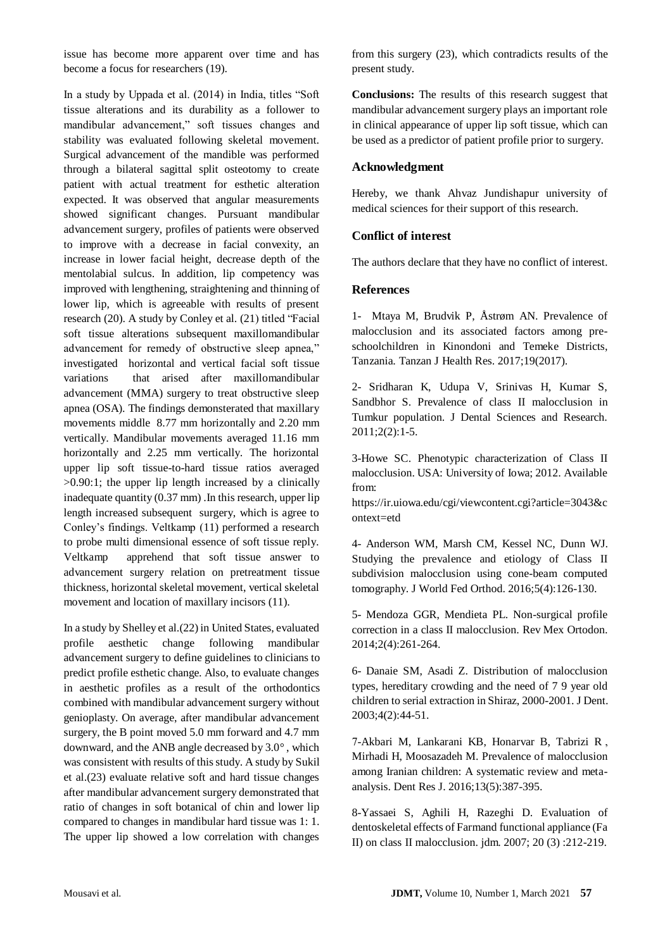issue has become more apparent over time and has become a focus for researchers (19).

In a study by Uppada et al. (2014) in India, titles "Soft tissue alterations and its durability as a follower to mandibular advancement," soft tissues changes and stability was evaluated following skeletal movement. Surgical advancement of the mandible was performed through a bilateral sagittal split osteotomy to create patient with actual treatment for esthetic alteration expected. It was observed that angular measurements showed significant changes. Pursuant mandibular advancement surgery, profiles of patients were observed to improve with a decrease in facial convexity, an increase in lower facial height, decrease depth of the mentolabial sulcus. In addition, lip competency was improved with lengthening, straightening and thinning of lower lip, which is agreeable with results of present research (20). A study by Conley et al. (21) titled "Facial soft tissue alterations subsequent maxillomandibular advancement for remedy of obstructive sleep apnea," investigated horizontal and vertical facial soft tissue variations that arised after maxillomandibular advancement (MMA) surgery to treat obstructive sleep apnea (OSA). The findings demonsterated that maxillary movements middle 8.77 mm horizontally and 2.20 mm vertically. Mandibular movements averaged 11.16 mm horizontally and 2.25 mm vertically. The horizontal upper lip soft tissue-to-hard tissue ratios averaged >0.90:1; the upper lip length increased by a clinically inadequate quantity (0.37 mm) .In this research, upper lip length increased subsequent surgery, which is agree to Conley's findings. Veltkamp (11) performed a research to probe multi dimensional essence of soft tissue reply. Veltkamp apprehend that soft tissue answer to advancement surgery relation on pretreatment tissue thickness, horizontal skeletal movement, vertical skeletal movement and location of maxillary incisors (11).

In a study by Shelley et al.(22) in United States, evaluated profile aesthetic change following mandibular advancement surgery to define guidelines to clinicians to predict profile esthetic change. Also, to evaluate changes in aesthetic profiles as a result of the orthodontics combined with mandibular advancement surgery without genioplasty. On average, after mandibular advancement surgery, the B point moved 5.0 mm forward and 4.7 mm downward, and the ANB angle decreased by 3.0° , which was consistent with results of this study. A study by Sukil et al.(23) evaluate relative soft and hard tissue changes after mandibular advancement surgery demonstrated that ratio of changes in soft botanical of chin and lower lip compared to changes in mandibular hard tissue was 1: 1. The upper lip showed a low correlation with changes

from this surgery (23), which contradicts results of the present study.

**Conclusions:** The results of this research suggest that mandibular advancement surgery plays an important role in clinical appearance of upper lip soft tissue, which can be used as a predictor of patient profile prior to surgery.

# **Acknowledgment**

Hereby, we thank Ahvaz Jundishapur university of medical sciences for their support of this research.

# **Conflict of interest**

The authors declare that they have no conflict of interest.

#### **References**

1- Mtaya M, Brudvik P, Åstrøm AN. Prevalence of malocclusion and its associated factors among preschoolchildren in Kinondoni and Temeke Districts, Tanzania. Tanzan J Health Res. 2017;19(2017).

2- Sridharan K, Udupa V, Srinivas H, Kumar S, Sandbhor S. Prevalence of class II malocclusion in Tumkur population. J Dental Sciences and Research. 2011;2(2):1-5.

3-Howe SC. Phenotypic characterization of Class II malocclusion. USA: University of Iowa; 2012. Available from:

https://ir.uiowa.edu/cgi/viewcontent.cgi?article=3043&c ontext=etd

4- Anderson WM, Marsh CM, Kessel NC, Dunn WJ. Studying the prevalence and etiology of Class II subdivision malocclusion using cone-beam computed tomography. J World Fed Orthod. 2016;5(4):126-130.

5- Mendoza GGR, Mendieta PL. Non-surgical profile correction in a class II malocclusion. Rev Mex Ortodon. 2014;2(4):261-264.

6- Danaie SM, Asadi Z. Distribution of malocclusion types, hereditary crowding and the need of 7 9 year old children to serial extraction in Shiraz, 2000-2001. J Dent. 2003;4(2):44-51.

7-Akbari M, Lankarani KB, Honarvar B, Tabrizi R , Mirhadi H, Moosazadeh M. Prevalence of malocclusion among Iranian children: A systematic review and metaanalysis. Dent Res J. 2016;13(5):387-395.

8-Yassaei S, Aghili H, Razeghi D. Evaluation of dentoskeletal effects of Farmand functional appliance (Fa II) on class II malocclusion. jdm. 2007; 20 (3) :212-219.